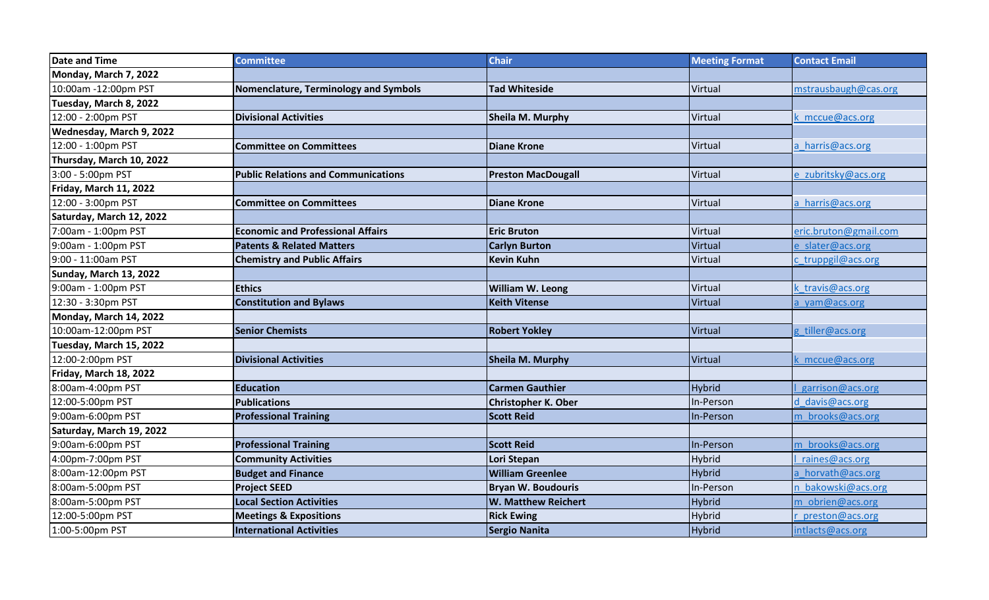| <b>Date and Time</b>     | <b>Committee</b>                           | <b>Chair</b>               | <b>Meeting Format</b> | <b>Contact Email</b>  |
|--------------------------|--------------------------------------------|----------------------------|-----------------------|-----------------------|
| Monday, March 7, 2022    |                                            |                            |                       |                       |
| 10:00am -12:00pm PST     | Nomenclature, Terminology and Symbols      | <b>Tad Whiteside</b>       | Virtual               | mstrausbaugh@cas.org  |
| Tuesday, March 8, 2022   |                                            |                            |                       |                       |
| 12:00 - 2:00pm PST       | <b>Divisional Activities</b>               | Sheila M. Murphy           | Virtual               | k mccue@acs.org       |
| Wednesday, March 9, 2022 |                                            |                            |                       |                       |
| 12:00 - 1:00pm PST       | <b>Committee on Committees</b>             | <b>Diane Krone</b>         | Virtual               | a harris@acs.org      |
| Thursday, March 10, 2022 |                                            |                            |                       |                       |
| 3:00 - 5:00pm PST        | <b>Public Relations and Communications</b> | <b>Preston MacDougall</b>  | Virtual               | e zubritsky@acs.org   |
| Friday, March 11, 2022   |                                            |                            |                       |                       |
| 12:00 - 3:00pm PST       | <b>Committee on Committees</b>             | <b>Diane Krone</b>         | Virtual               | a harris@acs.org      |
| Saturday, March 12, 2022 |                                            |                            |                       |                       |
| 7:00am - 1:00pm PST      | <b>Economic and Professional Affairs</b>   | <b>Eric Bruton</b>         | Virtual               | eric.bruton@gmail.com |
| 9:00am - 1:00pm PST      | <b>Patents &amp; Related Matters</b>       | <b>Carlyn Burton</b>       | Virtual               | e slater@acs.org      |
| 9:00 - 11:00am PST       | <b>Chemistry and Public Affairs</b>        | <b>Kevin Kuhn</b>          | Virtual               | c truppgil@acs.org    |
| Sunday, March 13, 2022   |                                            |                            |                       |                       |
| 9:00am - 1:00pm PST      | <b>Ethics</b>                              | William W. Leong           | Virtual               | k travis@acs.org      |
| 12:30 - 3:30pm PST       | <b>Constitution and Bylaws</b>             | <b>Keith Vitense</b>       | Virtual               | a yam@acs.org         |
| Monday, March 14, 2022   |                                            |                            |                       |                       |
| 10:00am-12:00pm PST      | <b>Senior Chemists</b>                     | <b>Robert Yokley</b>       | Virtual               | g tiller@acs.org      |
| Tuesday, March 15, 2022  |                                            |                            |                       |                       |
| 12:00-2:00pm PST         | <b>Divisional Activities</b>               | Sheila M. Murphy           | Virtual               | mccue@acs.org         |
| Friday, March 18, 2022   |                                            |                            |                       |                       |
| 8:00am-4:00pm PST        | <b>Education</b>                           | <b>Carmen Gauthier</b>     | <b>Hybrid</b>         | garrison@acs.org      |
| 12:00-5:00pm PST         | <b>Publications</b>                        | <b>Christopher K. Ober</b> | In-Person             | d davis@acs.org       |
| 9:00am-6:00pm PST        | <b>Professional Training</b>               | <b>Scott Reid</b>          | In-Person             | m brooks@acs.org      |
| Saturday, March 19, 2022 |                                            |                            |                       |                       |
| 9:00am-6:00pm PST        | <b>Professional Training</b>               | <b>Scott Reid</b>          | In-Person             | m brooks@acs.org      |
| 4:00pm-7:00pm PST        | <b>Community Activities</b>                | Lori Stepan                | <b>Hybrid</b>         | raines@acs.org        |
| 8:00am-12:00pm PST       | <b>Budget and Finance</b>                  | <b>William Greenlee</b>    | <b>Hybrid</b>         | a horvath@acs.org     |
| 8:00am-5:00pm PST        | <b>Project SEED</b>                        | <b>Bryan W. Boudouris</b>  | In-Person             | n bakowski@acs.org    |
| 8:00am-5:00pm PST        | <b>Local Section Activities</b>            | <b>W. Matthew Reichert</b> | <b>Hybrid</b>         | m obrien@acs.org      |
| 12:00-5:00pm PST         | <b>Meetings &amp; Expositions</b>          | <b>Rick Ewing</b>          | Hybrid                | preston@acs.org       |
| 1:00-5:00pm PST          | <b>International Activities</b>            | Sergio Nanita              | <b>Hybrid</b>         | intlacts@acs.org      |